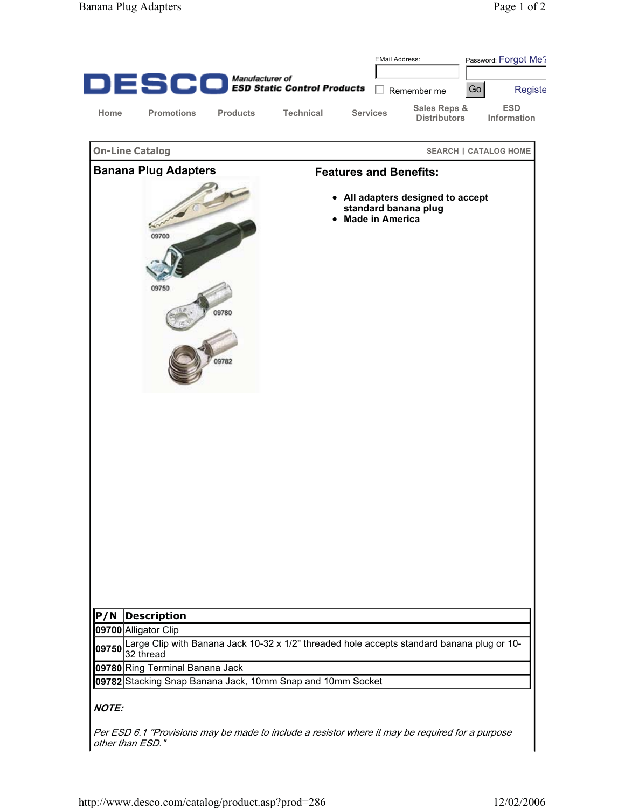|                             |                                 |                 |                                                                                                         |                        | <b>EMail Address:</b> |                                                           | Password: Forgot Me? |                                  |
|-----------------------------|---------------------------------|-----------------|---------------------------------------------------------------------------------------------------------|------------------------|-----------------------|-----------------------------------------------------------|----------------------|----------------------------------|
|                             |                                 |                 | $\mathbf{DE}$ $\mathbf{SCO}$ Manufacturer of Control Products                                           |                        |                       |                                                           |                      |                                  |
|                             |                                 |                 |                                                                                                         |                        |                       | $\Box$ Remember me                                        | Go                   | Registe                          |
| Home                        | <b>Promotions</b>               | <b>Products</b> | <b>Technical</b>                                                                                        | <b>Services</b>        |                       | Sales Reps &<br><b>Distributors</b>                       |                      | <b>ESD</b><br><b>Information</b> |
| <b>On-Line Catalog</b>      |                                 |                 |                                                                                                         |                        |                       |                                                           |                      | <b>SEARCH   CATALOG HOME</b>     |
| <b>Banana Plug Adapters</b> |                                 |                 | <b>Features and Benefits:</b>                                                                           |                        |                       |                                                           |                      |                                  |
|                             | 09700<br>09750                  | 09780<br>09782  |                                                                                                         | <b>Made in America</b> |                       | • All adapters designed to accept<br>standard banana plug |                      |                                  |
| P/N                         | <b>Description</b>              |                 |                                                                                                         |                        |                       |                                                           |                      |                                  |
|                             | 09700 Alligator Clip            |                 |                                                                                                         |                        |                       |                                                           |                      |                                  |
| 09750                       |                                 |                 | Large Clip with Banana Jack 10-32 x 1/2" threaded hole accepts standard banana plug or 10-<br>32 thread |                        |                       |                                                           |                      |                                  |
|                             | 09780 Ring Terminal Banana Jack |                 |                                                                                                         |                        |                       |                                                           |                      |                                  |
|                             |                                 |                 | 09782 Stacking Snap Banana Jack, 10mm Snap and 10mm Socket                                              |                        |                       |                                                           |                      |                                  |
| <b>NOTE:</b>                |                                 |                 |                                                                                                         |                        |                       |                                                           |                      |                                  |

Per ESD 6.1 "Provisions may be made to include a resistor where it may be required for a purpose other than ESD."